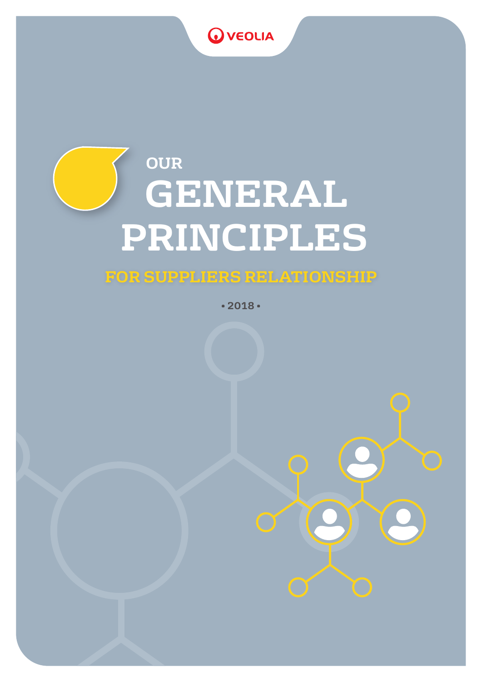# **O** VEOLIA

# **OUR GENERAL PRINCIPLES**

### **FOR SUPPLIERS RELATIONSHIP**

**• 2018 •**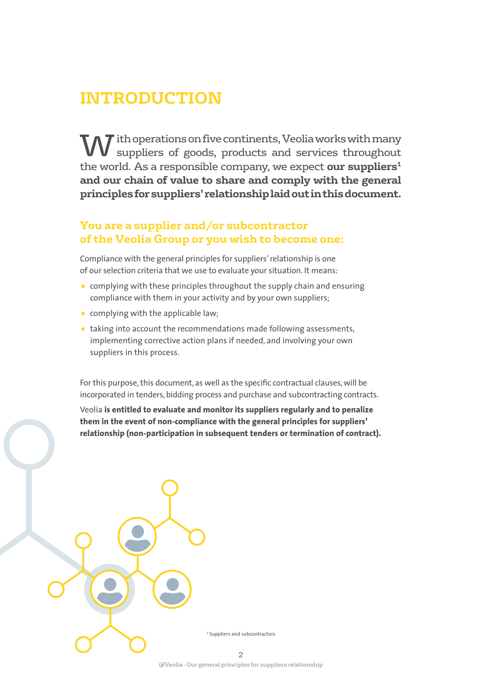### **INTRODUCTION**

W ith operations on five continents, Veolia works with many suppliers of goods, products and services throughout the world. As a responsible company, we expect **our suppliers<sup>1</sup> and our chain of value to share and comply with the general principles for suppliers' relationship laid out in this document.**

#### **You are a supplier and/or subcontractor of the Veolia Group or you wish to become one:**

Compliance with the general principles for suppliers' relationship is one of our selection criteria that we use to evaluate your situation. It means:

- complying with these principles throughout the supply chain and ensuring compliance with them in your activity and by your own suppliers;
- complying with the applicable law;
- taking into account the recommendations made following assessments, implementing corrective action plans if needed, and involving your own suppliers in this process.

For this purpose, this document, as well as the specific contractual clauses, will be incorporated in tenders, bidding process and purchase and subcontracting contracts.

Veolia **is entitled to evaluate and monitor its suppliers regularly and to penalize them in the event of non-compliance with the general principles for suppliers' relationship (non-participation in subsequent tenders or termination of contract).**

1 Suppliers and subcontractors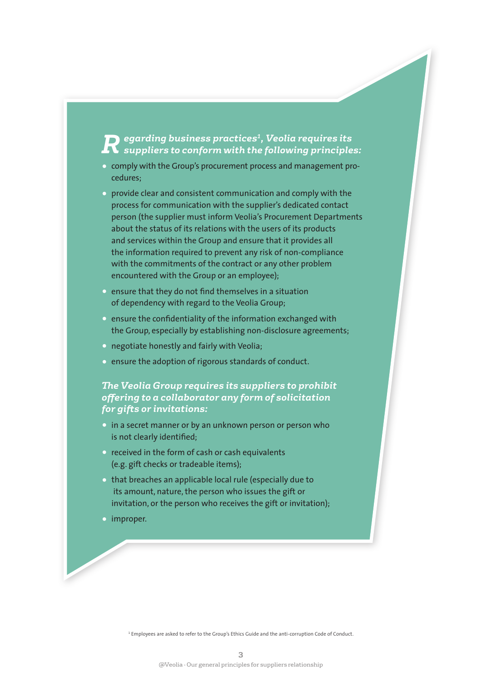# *Regarding business practices1, Veolia requires its suppliers to conform with the following principles:*

- comply with the Group's procurement process and management procedures;
- provide clear and consistent communication and comply with the process for communication with the supplier's dedicated contact person (the supplier must inform Veolia's Procurement Departments about the status of its relations with the users of its products and services within the Group and ensure that it provides all the information required to prevent any risk of non-compliance with the commitments of the contract or any other problem encountered with the Group or an employee);
- ensure that they do not find themselves in a situation of dependency with regard to the Veolia Group;
- ensure the confidentiality of the information exchanged with the Group, especially by establishing non-disclosure agreements;
- negotiate honestly and fairly with Veolia;
- ensure the adoption of rigorous standards of conduct.

#### *The Veolia Group requires its suppliers to prohibit offering to a collaborator any form of solicitation for gifts or invitations:*

- in a secret manner or by an unknown person or person who is not clearly identified;
- received in the form of cash or cash equivalents (e.g. gift checks or tradeable items);
- that breaches an applicable local rule (especially due to its amount, nature, the person who issues the gift or invitation, or the person who receives the gift or invitation);
- improper.

1 Employees are asked to refer to the Group's Ethics Guide and the anti-corruption Code of Conduct.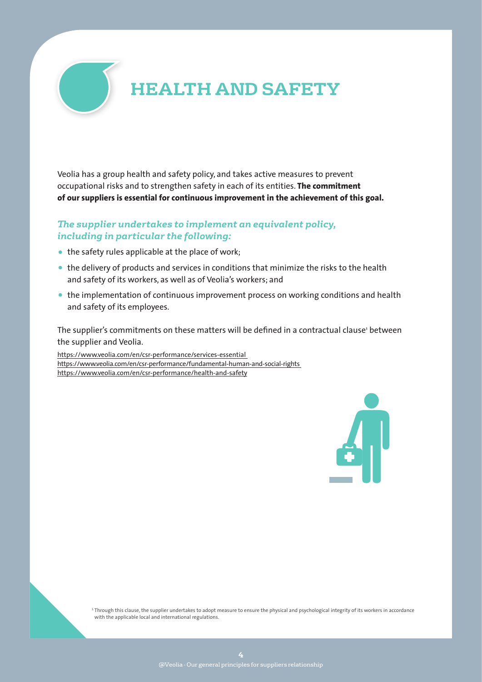

Veolia has a group health and safety policy, and takes active measures to prevent occupational risks and to strengthen safety in each of its entities. **The commitment of our suppliers is essential for continuous improvement in the achievement of this goal.**

#### *The supplier undertakes to implement an equivalent policy, including in particular the following:*

- the safety rules applicable at the place of work;
- the delivery of products and services in conditions that minimize the risks to the health and safety of its workers, as well as of Veolia's workers; and
- the implementation of continuous improvement process on working conditions and health and safety of its employees.

The supplier's commitments on these matters will be defined in a contractual clause' between the supplier and Veolia.

https://www.veolia.com/en/csr-performance/services-essential https://www.veolia.com/en/csr-performance/fundamental-human-and-social-rights https://www.veolia.com/en/csr-performance/health-and-safety



<sup>1</sup> Through this clause, the supplier undertakes to adopt measure to ensure the physical and psychological integrity of its workers in accordance with the applicable local and international regulations.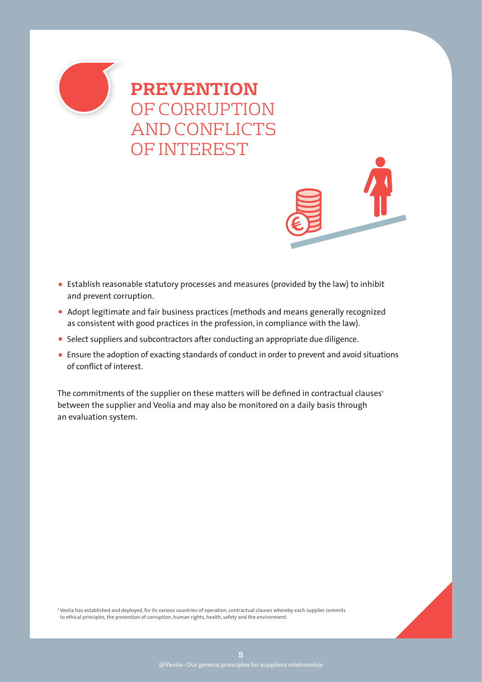

### **PREVENTION**  OF CORRUPTION AND CONFLICTS OF INTEREST

- Establish reasonable statutory processes and measures (provided by the law) to inhibit and prevent corruption.
- Adopt legitimate and fair business practices (methods and means generally recognized as consistent with good practices in the profession, in compliance with the law).
- Select suppliers and subcontractors after conducting an appropriate due diligence.
- Ensure the adoption of exacting standards of conduct in order to prevent and avoid situations of conflict of interest.

The commitments of the supplier on these matters will be defined in contractual clauses $^{\textrm{\tiny{\textup{1}}}}$ between the supplier and Veolia and may also be monitored on a daily basis through an evaluation system.

<sup>1</sup> Veolia has established and deployed, for its various countries of operation, contractual clauses whereby each supplier commits to ethical principles, the prevention of corruption, human rights, health, safety and the environment.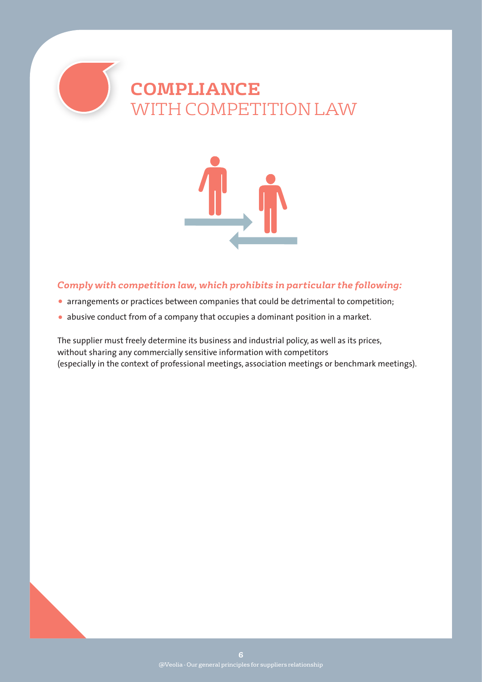

### **COMPLIANCE**  WITH COMPETITION LAW



#### *Comply with competition law, which prohibits in particular the following:*

- arrangements or practices between companies that could be detrimental to competition;
- abusive conduct from of a company that occupies a dominant position in a market.

The supplier must freely determine its business and industrial policy, as well as its prices, without sharing any commercially sensitive information with competitors (especially in the context of professional meetings, association meetings or benchmark meetings).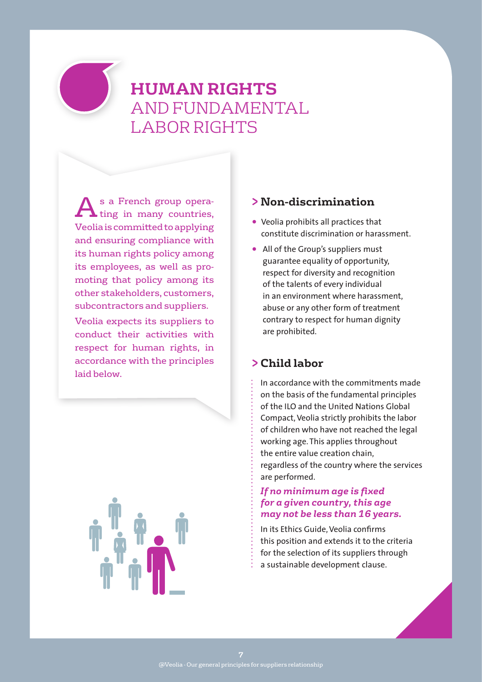### **HUMAN RIGHTS**  AND FUNDAMENTAL LABOR RIGHTS

A s a French group opera-<br>ting in many countries, Veolia is committed to applying and ensuring compliance with its human rights policy among its employees, as well as promoting that policy among its other stakeholders, customers, subcontractors and suppliers.

Veolia expects its suppliers to conduct their activities with respect for human rights, in accordance with the principles laid below.



#### **> Non-discrimination**

- Veolia prohibits all practices that constitute discrimination or harassment.
- All of the Group's suppliers must guarantee equality of opportunity, respect for diversity and recognition of the talents of every individual in an environment where harassment, abuse or any other form of treatment contrary to respect for human dignity are prohibited.

#### **> Child labor**

In accordance with the commitments made on the basis of the fundamental principles of the ILO and the United Nations Global Compact, Veolia strictly prohibits the labor of children who have not reached the legal working age. This applies throughout the entire value creation chain, regardless of the country where the services are performed.

#### *If no minimum age is fixed for a given country, this age may not be less than 16 years.*

In its Ethics Guide, Veolia confirms this position and extends it to the criteria for the selection of its suppliers through a sustainable development clause.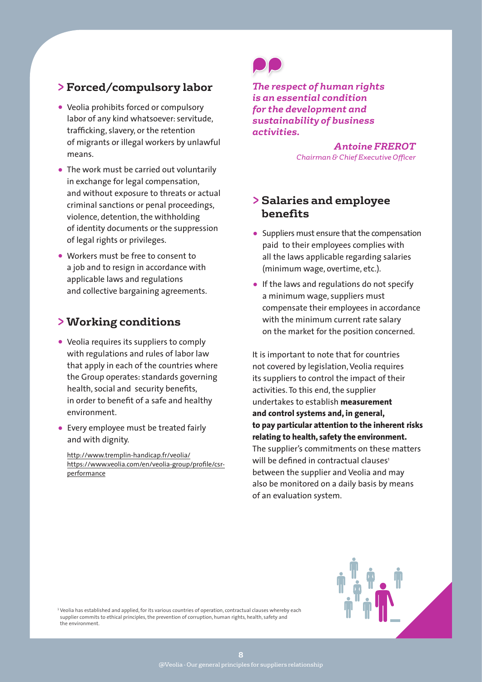#### **> Forced/compulsory labor**

- Veolia prohibits forced or compulsory labor of any kind whatsoever: servitude, trafficking, slavery, or the retention of migrants or illegal workers by unlawful means.
- The work must be carried out voluntarily in exchange for legal compensation, and without exposure to threats or actual criminal sanctions or penal proceedings, violence, detention, the withholding of identity documents or the suppression of legal rights or privileges.
- Workers must be free to consent to a job and to resign in accordance with applicable laws and regulations and collective bargaining agreements.

#### **> Working conditions**

- Veolia requires its suppliers to comply with regulations and rules of labor law that apply in each of the countries where the Group operates: standards governing health, social and security benefits, in order to benefit of a safe and healthy environment.
- Every employee must be treated fairly and with dignity.

http://www.tremplin-handicap.fr/veolia/ https://www.veolia.com/en/veolia-group/profile/csrperformance



*The respect of human rights is an essential condition for the development and sustainability of business activities.*

> *Antoine FREROT Chairman & Chief Executive Officer*

#### **> Salaries and employee benefits**

- Suppliers must ensure that the compensation paid to their employees complies with all the laws applicable regarding salaries (minimum wage, overtime, etc.).
- If the laws and regulations do not specify a minimum wage, suppliers must compensate their employees in accordance with the minimum current rate salary on the market for the position concerned.

It is important to note that for countries not covered by legislation, Veolia requires its suppliers to control the impact of their activities. To this end, the supplier undertakes to establish **measurement and control systems and, in general, to pay particular attention to the inherent risks relating to health, safety the environment.**  The supplier's commitments on these matters will be defined in contractual clauses<sup>1</sup> between the supplier and Veolia and may also be monitored on a daily basis by means of an evaluation system.



<sup>1</sup> Veolia has established and applied, for its various countries of operation, contractual clauses whereby each supplier commits to ethical principles, the prevention of corruption, human rights, health, safety and the environment.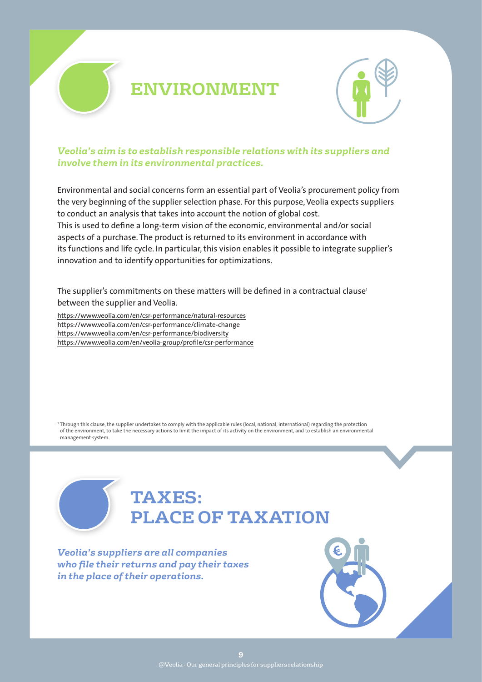

### **ENVIRONMENT**



#### *Veolia's aim is to establish responsible relations with its suppliers and involve them in its environmental practices.*

Environmental and social concerns form an essential part of Veolia's procurement policy from the very beginning of the supplier selection phase. For this purpose, Veolia expects suppliers to conduct an analysis that takes into account the notion of global cost. This is used to define a long-term vision of the economic, environmental and/or social aspects of a purchase. The product is returned to its environment in accordance with its functions and life cycle. In particular, this vision enables it possible to integrate supplier's innovation and to identify opportunities for optimizations.

The supplier's commitments on these matters will be defined in a contractual clause<sup>1</sup> between the supplier and Veolia.

https://www.veolia.com/en/csr-performance/natural-resources https://www.veolia.com/en/csr-performance/climate-change https://www.veolia.com/en/csr-performance/biodiversity https://www.veolia.com/en/veolia-group/profile/csr-performance

<sup>1</sup> Through this clause, the supplier undertakes to comply with the applicable rules (local, national, international) regarding the protection of the environment, to take the necessary actions to limit the impact of its activity on the environment, and to establish an environmental management system.

### **TAXES: PLACE OF TAXATION**

*Veolia's suppliers are all companies who file their returns and pay their taxes in the place of their operations.*

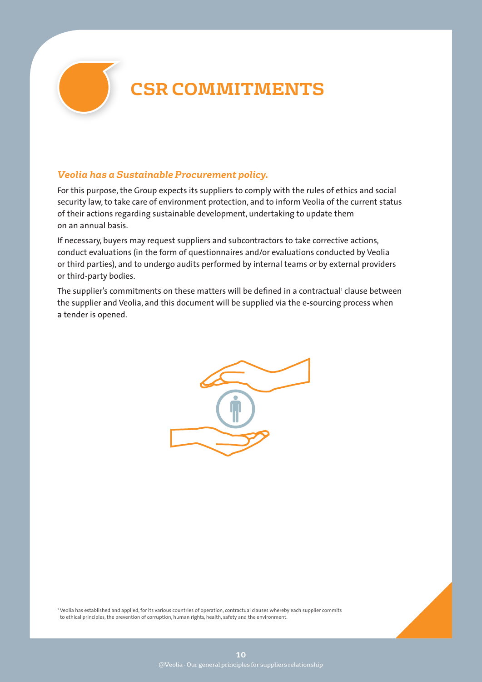

# **CSR COMMITMENTS**

#### *Veolia has a Sustainable Procurement policy.*

For this purpose, the Group expects its suppliers to comply with the rules of ethics and social security law, to take care of environment protection, and to inform Veolia of the current status of their actions regarding sustainable development, undertaking to update them on an annual basis.

If necessary, buyers may request suppliers and subcontractors to take corrective actions, conduct evaluations (in the form of questionnaires and/or evaluations conducted by Veolia or third parties), and to undergo audits performed by internal teams or by external providers or third-party bodies.

The supplier's commitments on these matters will be defined in a contractual' clause between the supplier and Veolia, and this document will be supplied via the e-sourcing process when a tender is opened.



<sup>1</sup> Veolia has established and applied, for its various countries of operation, contractual clauses whereby each supplier commits to ethical principles, the prevention of corruption, human rights, health, safety and the environment.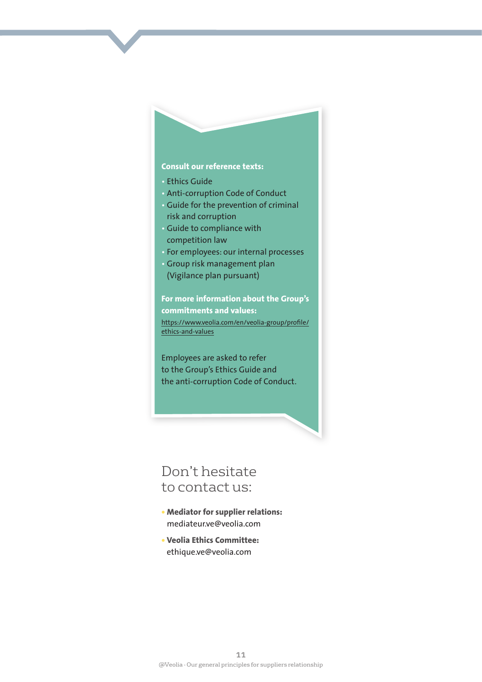#### **Consult our reference texts:**

- Ethics Guide
- Anti-corruption Code of Conduct
- Guide for the prevention of criminal risk and corruption
- Guide to compliance with competition law
- For employees: our internal processes
- Group risk management plan (Vigilance plan pursuant)

**For more information about the Group's commitments and values:**  https://www.veolia.com/en/veolia-group/profile/ ethics-and-values

Employees are asked to refer to the Group's Ethics Guide and the anti-corruption Code of Conduct.

### Don't hesitate to contact us:

- **• Mediator for supplier relations:**  mediateur.ve@veolia.com
- **• Veolia Ethics Committee:**  ethique.ve@veolia.com